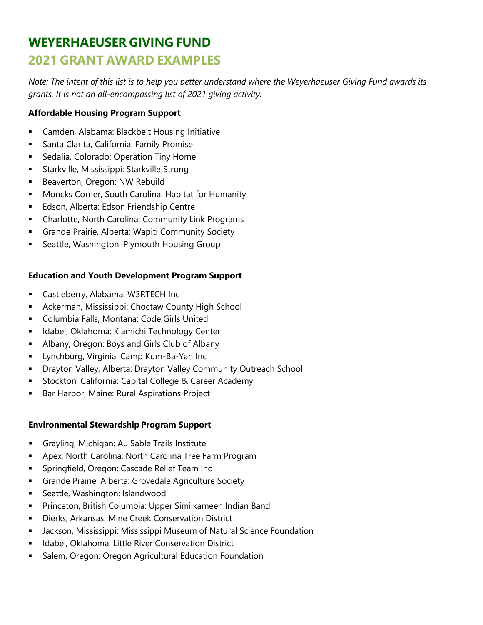# **WEYERHAEUSER GIVING FUND 2021 GRANT AWARD EXAMPLES**

*Note: The intent of this list is to help you better understand where the Weyerhaeuser Giving Fund awards its grants. It is not an all-encompassing list of 2021 giving activity.*

# **Affordable Housing Program Support**

- Camden, Alabama: Blackbelt Housing Initiative
- **Santa Clarita, California: Family Promise**
- **Sedalia, Colorado: Operation Tiny Home**
- **Starkville, Mississippi: Starkville Strong**
- **Beaverton, Oregon: NW Rebuild**
- Moncks Corner, South Carolina: Habitat for Humanity
- Edson, Alberta: Edson Friendship Centre
- Charlotte, North Carolina: Community Link Programs
- **Grande Prairie, Alberta: Wapiti Community Society**
- **Seattle, Washington: Plymouth Housing Group**

# **Education and Youth Development Program Support**

- Castleberry, Alabama: W3RTECH Inc
- **-** Ackerman, Mississippi: Choctaw County High School
- Columbia Falls, Montana: Code Girls United
- **Idabel, Oklahoma: Kiamichi Technology Center**
- Albany, Oregon: Boys and Girls Club of Albany
- Lynchburg, Virginia: Camp Kum-Ba-Yah Inc
- Drayton Valley, Alberta: Drayton Valley Community Outreach School
- **Stockton, California: Capital College & Career Academy**
- **Bar Harbor, Maine: Rural Aspirations Project**

## **Environmental Stewardship Program Support**

- Grayling, Michigan: Au Sable Trails Institute
- **-** Apex, North Carolina: North Carolina Tree Farm Program
- **Springfield, Oregon: Cascade Relief Team Inc**
- Grande Prairie, Alberta: Grovedale Agriculture Society
- **Seattle, Washington: Islandwood**
- Princeton, British Columbia: Upper Similkameen Indian Band
- Dierks, Arkansas: Mine Creek Conservation District
- Jackson, Mississippi: Mississippi Museum of Natural Science Foundation
- **IDAME:** Idabel, Oklahoma: Little River Conservation District
- **Salem, Oregon: Oregon Agricultural Education Foundation**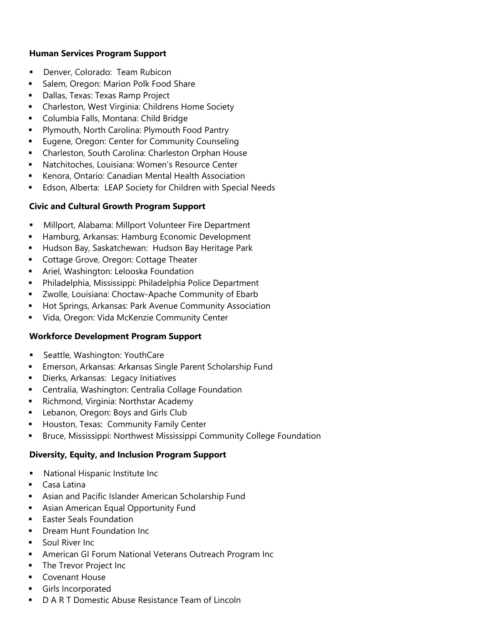# **Human Services Program Support**

- **-** Denver, Colorado: Team Rubicon
- **Salem, Oregon: Marion Polk Food Share**
- **-** Dallas, Texas: Texas Ramp Project
- Charleston, West Virginia: Childrens Home Society
- **-** Columbia Falls, Montana: Child Bridge
- **Plymouth, North Carolina: Plymouth Food Pantry**
- **Eugene, Oregon: Center for Community Counseling**
- Charleston, South Carolina: Charleston Orphan House
- Natchitoches, Louisiana: Women's Resource Center
- Kenora, Ontario: Canadian Mental Health Association
- **Edson, Alberta: LEAP Society for Children with Special Needs**

# **Civic and Cultural Growth Program Support**

- Millport, Alabama: Millport Volunteer Fire Department
- **Hamburg, Arkansas: Hamburg Economic Development**
- **Hudson Bay, Saskatchewan: Hudson Bay Heritage Park**
- **Cottage Grove, Oregon: Cottage Theater**
- **F** Ariel, Washington: Lelooska Foundation
- Philadelphia, Mississippi: Philadelphia Police Department
- Zwolle, Louisiana: Choctaw-Apache Community of Ebarb
- **Hot Springs, Arkansas: Park Avenue Community Association**
- Vida, Oregon: Vida McKenzie Community Center

## **Workforce Development Program Support**

- **Seattle, Washington: YouthCare**
- Emerson, Arkansas: Arkansas Single Parent Scholarship Fund
- **Dierks, Arkansas: Legacy Initiatives**
- Centralia, Washington: Centralia Collage Foundation
- **Richmond, Virginia: Northstar Academy**
- **EXEC** Lebanon, Oregon: Boys and Girls Club
- **Houston, Texas: Community Family Center**
- **Bruce, Mississippi: Northwest Mississippi Community College Foundation**

## **Diversity, Equity, and Inclusion Program Support**

- National Hispanic Institute Inc
- Casa Latina
- **EXECT** Asian and Pacific Islander American Scholarship Fund
- Asian American Equal Opportunity Fund
- **Easter Seals Foundation**
- **Dream Hunt Foundation Inc.**
- Soul River Inc
- **American GI Forum National Veterans Outreach Program Inc**
- **The Trevor Project Inc**
- **Covenant House**
- **Girls Incorporated**
- D A R T Domestic Abuse Resistance Team of Lincoln